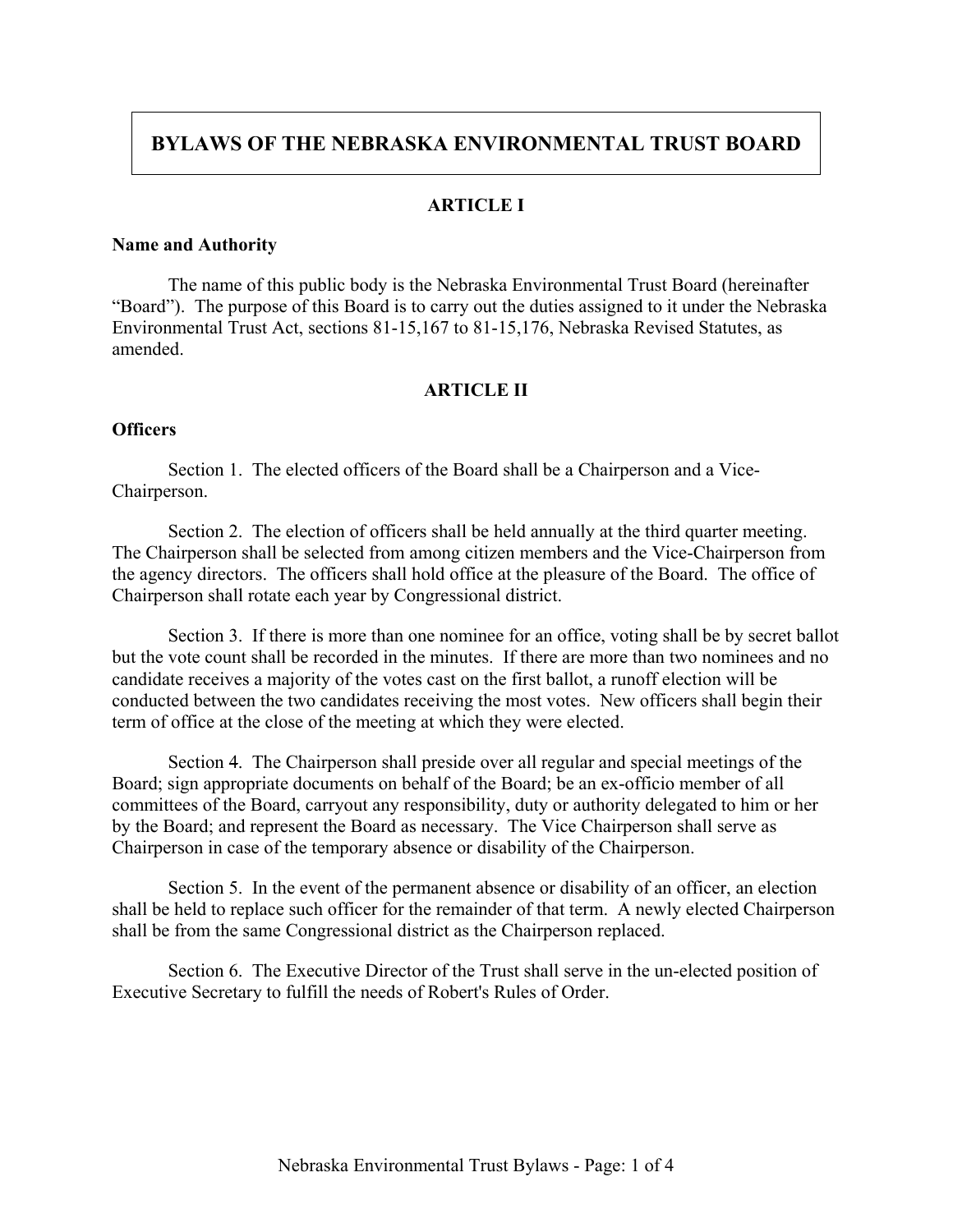# **BYLAWS OF THE NEBRASKA ENVIRONMENTAL TRUST BOARD**

## **ARTICLE I**

#### **Name and Authority**

The name of this public body is the Nebraska Environmental Trust Board (hereinafter "Board"). The purpose of this Board is to carry out the duties assigned to it under the Nebraska Environmental Trust Act, sections 81-15,167 to 81-15,176, Nebraska Revised Statutes, as amended.

## **ARTICLE II**

## **Officers**

Section 1. The elected officers of the Board shall be a Chairperson and a Vice-Chairperson.

Section 2. The election of officers shall be held annually at the third quarter meeting. The Chairperson shall be selected from among citizen members and the Vice-Chairperson from the agency directors. The officers shall hold office at the pleasure of the Board. The office of Chairperson shall rotate each year by Congressional district.

Section 3. If there is more than one nominee for an office, voting shall be by secret ballot but the vote count shall be recorded in the minutes. If there are more than two nominees and no candidate receives a majority of the votes cast on the first ballot, a runoff election will be conducted between the two candidates receiving the most votes. New officers shall begin their term of office at the close of the meeting at which they were elected.

Section 4. The Chairperson shall preside over all regular and special meetings of the Board; sign appropriate documents on behalf of the Board; be an ex-officio member of all committees of the Board, carryout any responsibility, duty or authority delegated to him or her by the Board; and represent the Board as necessary. The Vice Chairperson shall serve as Chairperson in case of the temporary absence or disability of the Chairperson.

Section 5. In the event of the permanent absence or disability of an officer, an election shall be held to replace such officer for the remainder of that term. A newly elected Chairperson shall be from the same Congressional district as the Chairperson replaced.

Section 6. The Executive Director of the Trust shall serve in the un-elected position of Executive Secretary to fulfill the needs of Robert's Rules of Order.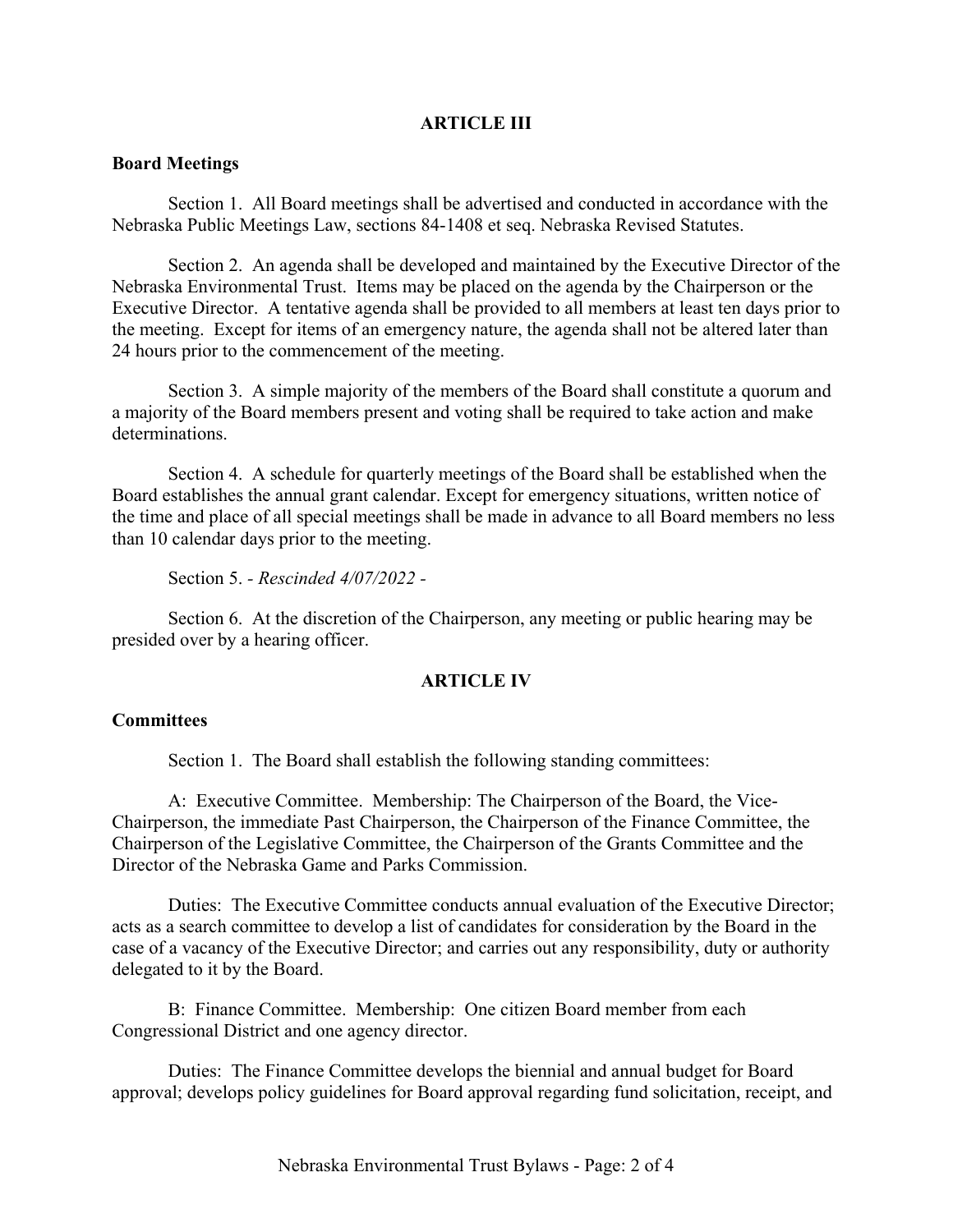## **ARTICLE III**

#### **Board Meetings**

Section 1. All Board meetings shall be advertised and conducted in accordance with the Nebraska Public Meetings Law, sections 84-1408 et seq. Nebraska Revised Statutes.

Section 2. An agenda shall be developed and maintained by the Executive Director of the Nebraska Environmental Trust. Items may be placed on the agenda by the Chairperson or the Executive Director. A tentative agenda shall be provided to all members at least ten days prior to the meeting. Except for items of an emergency nature, the agenda shall not be altered later than 24 hours prior to the commencement of the meeting.

Section 3. A simple majority of the members of the Board shall constitute a quorum and a majority of the Board members present and voting shall be required to take action and make determinations.

Section 4. A schedule for quarterly meetings of the Board shall be established when the Board establishes the annual grant calendar. Except for emergency situations, written notice of the time and place of all special meetings shall be made in advance to all Board members no less than 10 calendar days prior to the meeting.

Section 5. *- Rescinded 4/07/2022 -*

Section 6. At the discretion of the Chairperson, any meeting or public hearing may be presided over by a hearing officer.

### **ARTICLE IV**

### **Committees**

Section 1. The Board shall establish the following standing committees:

A: Executive Committee. Membership: The Chairperson of the Board, the Vice-Chairperson, the immediate Past Chairperson, the Chairperson of the Finance Committee, the Chairperson of the Legislative Committee, the Chairperson of the Grants Committee and the Director of the Nebraska Game and Parks Commission.

Duties: The Executive Committee conducts annual evaluation of the Executive Director; acts as a search committee to develop a list of candidates for consideration by the Board in the case of a vacancy of the Executive Director; and carries out any responsibility, duty or authority delegated to it by the Board.

B: Finance Committee. Membership: One citizen Board member from each Congressional District and one agency director.

Duties: The Finance Committee develops the biennial and annual budget for Board approval; develops policy guidelines for Board approval regarding fund solicitation, receipt, and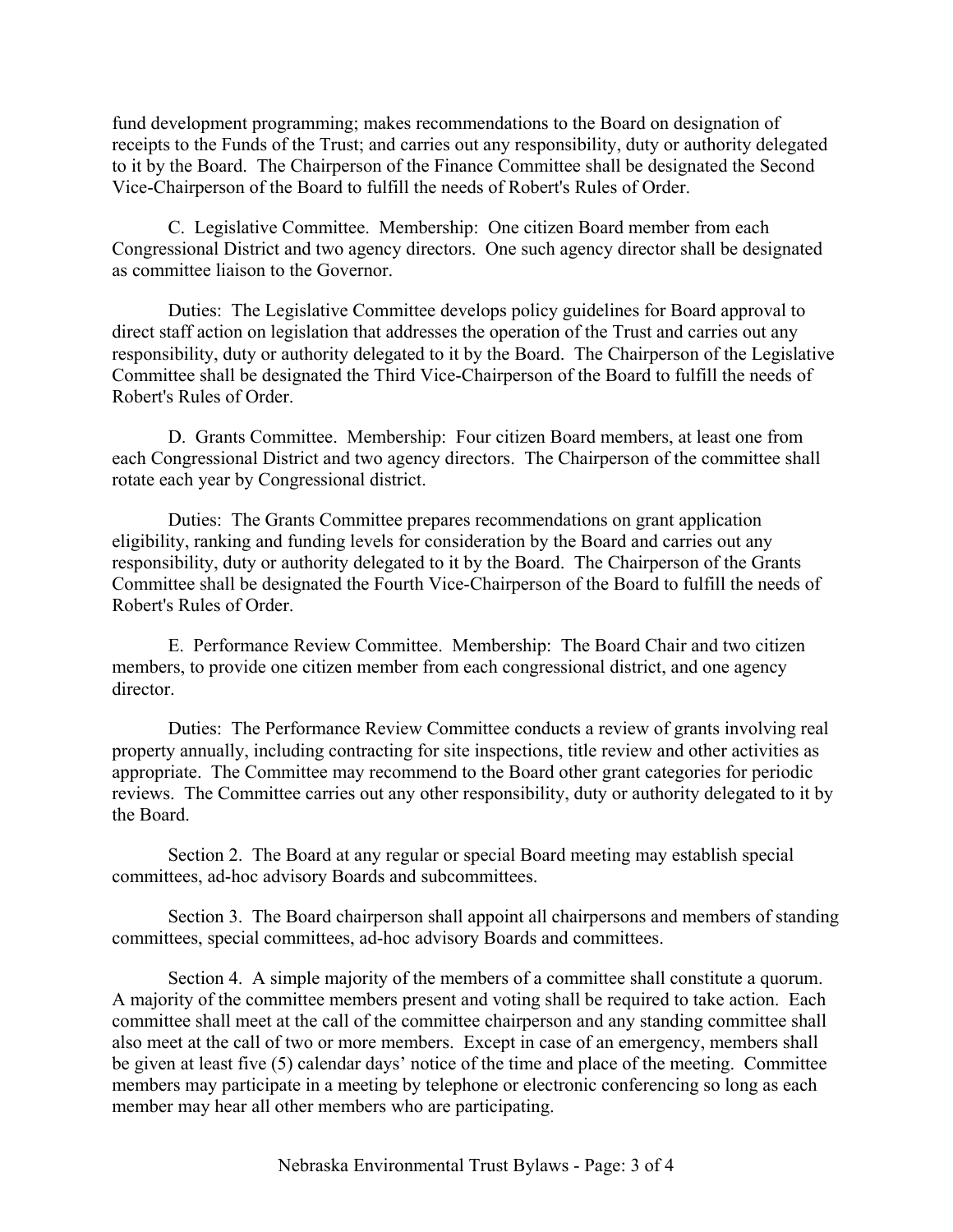fund development programming; makes recommendations to the Board on designation of receipts to the Funds of the Trust; and carries out any responsibility, duty or authority delegated to it by the Board. The Chairperson of the Finance Committee shall be designated the Second Vice-Chairperson of the Board to fulfill the needs of Robert's Rules of Order.

C. Legislative Committee. Membership: One citizen Board member from each Congressional District and two agency directors. One such agency director shall be designated as committee liaison to the Governor.

Duties: The Legislative Committee develops policy guidelines for Board approval to direct staff action on legislation that addresses the operation of the Trust and carries out any responsibility, duty or authority delegated to it by the Board. The Chairperson of the Legislative Committee shall be designated the Third Vice-Chairperson of the Board to fulfill the needs of Robert's Rules of Order.

D. Grants Committee. Membership: Four citizen Board members, at least one from each Congressional District and two agency directors. The Chairperson of the committee shall rotate each year by Congressional district.

Duties: The Grants Committee prepares recommendations on grant application eligibility, ranking and funding levels for consideration by the Board and carries out any responsibility, duty or authority delegated to it by the Board. The Chairperson of the Grants Committee shall be designated the Fourth Vice-Chairperson of the Board to fulfill the needs of Robert's Rules of Order.

E. Performance Review Committee. Membership: The Board Chair and two citizen members, to provide one citizen member from each congressional district, and one agency director.

Duties: The Performance Review Committee conducts a review of grants involving real property annually, including contracting for site inspections, title review and other activities as appropriate. The Committee may recommend to the Board other grant categories for periodic reviews. The Committee carries out any other responsibility, duty or authority delegated to it by the Board.

Section 2. The Board at any regular or special Board meeting may establish special committees, ad-hoc advisory Boards and subcommittees.

Section 3. The Board chairperson shall appoint all chairpersons and members of standing committees, special committees, ad-hoc advisory Boards and committees.

Section 4. A simple majority of the members of a committee shall constitute a quorum. A majority of the committee members present and voting shall be required to take action. Each committee shall meet at the call of the committee chairperson and any standing committee shall also meet at the call of two or more members. Except in case of an emergency, members shall be given at least five (5) calendar days' notice of the time and place of the meeting. Committee members may participate in a meeting by telephone or electronic conferencing so long as each member may hear all other members who are participating.